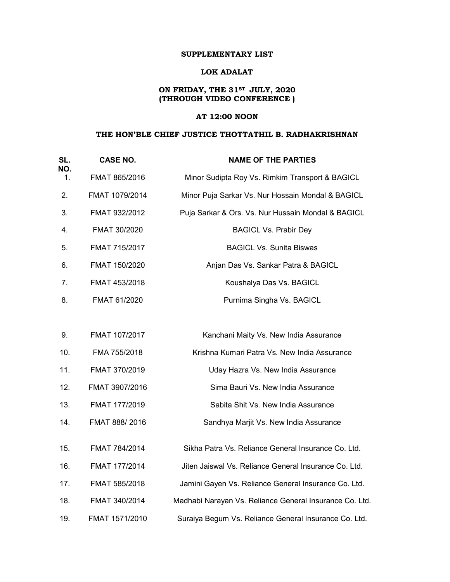## LOK ADALAT

# ON FRIDAY, THE 31<sup>st</sup> JULY, 2020 (THROUGH VIDEO CONFERENCE )

## AT 12:00 NOON

## THE HON'BLE CHIEF JUSTICE THOTTATHIL B. RADHAKRISHNAN

| SL.       | <b>CASE NO.</b>                                                     | <b>NAME OF THE PARTIES</b>                              |  |  |
|-----------|---------------------------------------------------------------------|---------------------------------------------------------|--|--|
| NO.<br>1. | FMAT 865/2016                                                       | Minor Sudipta Roy Vs. Rimkim Transport & BAGICL         |  |  |
| 2.        | FMAT 1079/2014<br>Minor Puja Sarkar Vs. Nur Hossain Mondal & BAGICL |                                                         |  |  |
| 3.        | FMAT 932/2012                                                       | Puja Sarkar & Ors. Vs. Nur Hussain Mondal & BAGICL      |  |  |
| 4.        | FMAT 30/2020                                                        | <b>BAGICL Vs. Prabir Dey</b>                            |  |  |
| 5.        | FMAT 715/2017                                                       | <b>BAGICL Vs. Sunita Biswas</b>                         |  |  |
| 6.        | FMAT 150/2020                                                       | Anjan Das Vs. Sankar Patra & BAGICL                     |  |  |
| 7.        | FMAT 453/2018                                                       | Koushalya Das Vs. BAGICL                                |  |  |
| 8.        | FMAT 61/2020                                                        | Purnima Singha Vs. BAGICL                               |  |  |
|           |                                                                     |                                                         |  |  |
| 9.        | FMAT 107/2017                                                       | Kanchani Maity Vs. New India Assurance                  |  |  |
| 10.       | FMA 755/2018                                                        | Krishna Kumari Patra Vs. New India Assurance            |  |  |
| 11.       | FMAT 370/2019                                                       | Uday Hazra Vs. New India Assurance                      |  |  |
| 12.       | FMAT 3907/2016                                                      | Sima Bauri Vs. New India Assurance                      |  |  |
| 13.       | FMAT 177/2019                                                       | Sabita Shit Vs. New India Assurance                     |  |  |
| 14.       | FMAT 888/2016                                                       | Sandhya Marjit Vs. New India Assurance                  |  |  |
| 15.       | FMAT 784/2014                                                       | Sikha Patra Vs. Reliance General Insurance Co. Ltd.     |  |  |
| 16.       | FMAT 177/2014                                                       | Jiten Jaiswal Vs. Reliance General Insurance Co. Ltd.   |  |  |
|           |                                                                     |                                                         |  |  |
| 17.       | FMAT 585/2018                                                       | Jamini Gayen Vs. Reliance General Insurance Co. Ltd.    |  |  |
| 18.       | FMAT 340/2014                                                       | Madhabi Narayan Vs. Reliance General Insurance Co. Ltd. |  |  |
| 19.       | FMAT 1571/2010                                                      | Suraiya Begum Vs. Reliance General Insurance Co. Ltd.   |  |  |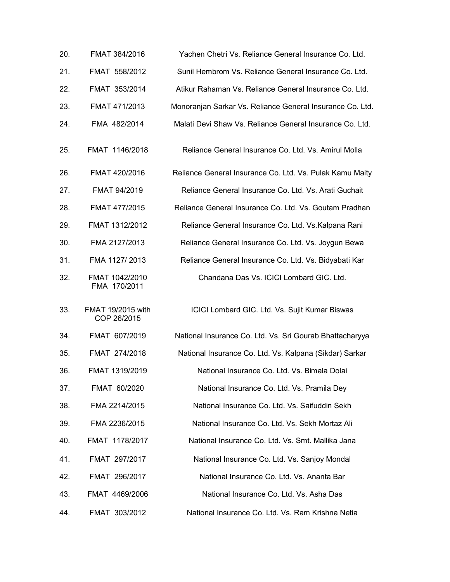| 20. | FMAT 384/2016                    | Yachen Chetri Vs. Reliance General Insurance Co. Ltd.     |  |  |
|-----|----------------------------------|-----------------------------------------------------------|--|--|
| 21. | FMAT 558/2012                    | Sunil Hembrom Vs. Reliance General Insurance Co. Ltd.     |  |  |
| 22. | FMAT 353/2014                    | Atikur Rahaman Vs. Reliance General Insurance Co. Ltd.    |  |  |
| 23. | FMAT 471/2013                    | Monoranjan Sarkar Vs. Reliance General Insurance Co. Ltd. |  |  |
| 24. | FMA 482/2014                     | Malati Devi Shaw Vs. Reliance General Insurance Co. Ltd.  |  |  |
| 25. | FMAT 1146/2018                   | Reliance General Insurance Co. Ltd. Vs. Amirul Molla      |  |  |
| 26. | FMAT 420/2016                    | Reliance General Insurance Co. Ltd. Vs. Pulak Kamu Maity  |  |  |
| 27. | FMAT 94/2019                     | Reliance General Insurance Co. Ltd. Vs. Arati Guchait     |  |  |
| 28. | FMAT 477/2015                    | Reliance General Insurance Co. Ltd. Vs. Goutam Pradhan    |  |  |
| 29. | FMAT 1312/2012                   | Reliance General Insurance Co. Ltd. Vs. Kalpana Rani      |  |  |
| 30. | FMA 2127/2013                    | Reliance General Insurance Co. Ltd. Vs. Joygun Bewa       |  |  |
| 31. | FMA 1127/2013                    | Reliance General Insurance Co. Ltd. Vs. Bidyabati Kar     |  |  |
| 32. | FMAT 1042/2010<br>FMA 170/2011   | Chandana Das Vs. ICICI Lombard GIC. Ltd.                  |  |  |
| 33. | FMAT 19/2015 with<br>COP 26/2015 | ICICI Lombard GIC. Ltd. Vs. Sujit Kumar Biswas            |  |  |
| 34. | FMAT 607/2019                    | National Insurance Co. Ltd. Vs. Sri Gourab Bhattacharyya  |  |  |
| 35. | FMAT 274/2018                    | National Insurance Co. Ltd. Vs. Kalpana (Sikdar) Sarkar   |  |  |
| 36. | FMAT 1319/2019                   | National Insurance Co. Ltd. Vs. Bimala Dolai              |  |  |
| 37. | FMAT 60/2020                     | National Insurance Co. Ltd. Vs. Pramila Dey               |  |  |
| 38. | FMA 2214/2015                    | National Insurance Co. Ltd. Vs. Saifuddin Sekh            |  |  |
| 39. | FMA 2236/2015                    | National Insurance Co. Ltd. Vs. Sekh Mortaz Ali           |  |  |
| 40. | FMAT 1178/2017                   | National Insurance Co. Ltd. Vs. Smt. Mallika Jana         |  |  |
| 41. | FMAT 297/2017                    | National Insurance Co. Ltd. Vs. Sanjoy Mondal             |  |  |
| 42. | FMAT 296/2017                    | National Insurance Co. Ltd. Vs. Ananta Bar                |  |  |
| 43. | FMAT 4469/2006                   | National Insurance Co. Ltd. Vs. Asha Das                  |  |  |
| 44. | FMAT 303/2012                    | National Insurance Co. Ltd. Vs. Ram Krishna Netia         |  |  |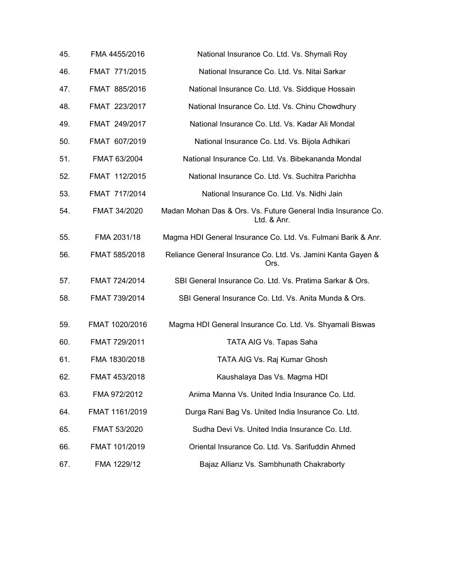| 45. | FMA 4455/2016  | National Insurance Co. Ltd. Vs. Shymali Roy                                  |  |
|-----|----------------|------------------------------------------------------------------------------|--|
| 46. | FMAT 771/2015  | National Insurance Co. Ltd. Vs. Nitai Sarkar                                 |  |
| 47. | FMAT 885/2016  | National Insurance Co. Ltd. Vs. Siddique Hossain                             |  |
| 48. | FMAT 223/2017  | National Insurance Co. Ltd. Vs. Chinu Chowdhury                              |  |
| 49. | FMAT 249/2017  | National Insurance Co. Ltd. Vs. Kadar Ali Mondal                             |  |
| 50. | FMAT 607/2019  | National Insurance Co. Ltd. Vs. Bijola Adhikari                              |  |
| 51. | FMAT 63/2004   | National Insurance Co. Ltd. Vs. Bibekananda Mondal                           |  |
| 52. | FMAT 112/2015  | National Insurance Co. Ltd. Vs. Suchitra Parichha                            |  |
| 53. | FMAT 717/2014  | National Insurance Co. Ltd. Vs. Nidhi Jain                                   |  |
| 54. | FMAT 34/2020   | Madan Mohan Das & Ors. Vs. Future General India Insurance Co.<br>Ltd. & Anr. |  |
| 55. | FMA 2031/18    | Magma HDI General Insurance Co. Ltd. Vs. Fulmani Barik & Anr.                |  |
| 56. | FMAT 585/2018  | Reliance General Insurance Co. Ltd. Vs. Jamini Kanta Gayen &<br>Ors.         |  |
| 57. | FMAT 724/2014  | SBI General Insurance Co. Ltd. Vs. Pratima Sarkar & Ors.                     |  |
| 58. | FMAT 739/2014  | SBI General Insurance Co. Ltd. Vs. Anita Munda & Ors.                        |  |
| 59. | FMAT 1020/2016 | Magma HDI General Insurance Co. Ltd. Vs. Shyamali Biswas                     |  |
| 60. | FMAT 729/2011  | TATA AIG Vs. Tapas Saha                                                      |  |
| 61. | FMA 1830/2018  | TATA AIG Vs. Raj Kumar Ghosh                                                 |  |
| 62. | FMAT 453/2018  | Kaushalaya Das Vs. Magma HDI                                                 |  |
| 63. | FMA 972/2012   | Anima Manna Vs. United India Insurance Co. Ltd.                              |  |
| 64. | FMAT 1161/2019 | Durga Rani Bag Vs. United India Insurance Co. Ltd.                           |  |
| 65. | FMAT 53/2020   | Sudha Devi Vs. United India Insurance Co. Ltd.                               |  |
| 66. | FMAT 101/2019  | Oriental Insurance Co. Ltd. Vs. Sarifuddin Ahmed                             |  |
| 67. | FMA 1229/12    | Bajaz Allianz Vs. Sambhunath Chakraborty                                     |  |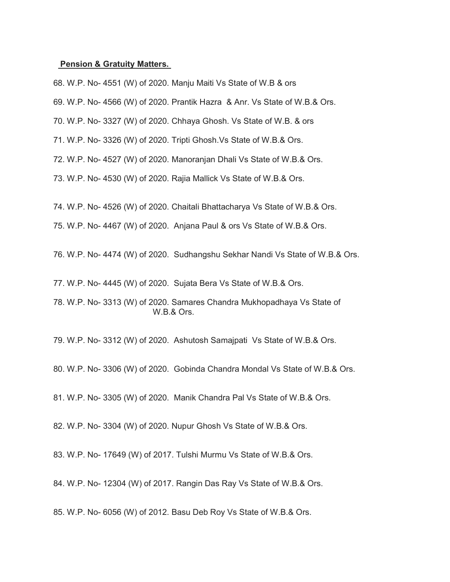### Pension & Gratuity Matters.

68. W.P. No- 4551 (W) of 2020. Manju Maiti Vs State of W.B & ors

69. W.P. No- 4566 (W) of 2020. Prantik Hazra & Anr. Vs State of W.B.& Ors.

70. W.P. No- 3327 (W) of 2020. Chhaya Ghosh. Vs State of W.B. & ors

71. W.P. No- 3326 (W) of 2020. Tripti Ghosh.Vs State of W.B.& Ors.

72. W.P. No- 4527 (W) of 2020. Manoranjan Dhali Vs State of W.B.& Ors.

73. W.P. No- 4530 (W) of 2020. Rajia Mallick Vs State of W.B.& Ors.

74. W.P. No- 4526 (W) of 2020. Chaitali Bhattacharya Vs State of W.B.& Ors.

75. W.P. No- 4467 (W) of 2020. Anjana Paul & ors Vs State of W.B.& Ors.

76. W.P. No- 4474 (W) of 2020. Sudhangshu Sekhar Nandi Vs State of W.B.& Ors.

77. W.P. No- 4445 (W) of 2020. Sujata Bera Vs State of W.B.& Ors.

78. W.P. No- 3313 (W) of 2020. Samares Chandra Mukhopadhaya Vs State of W.B.& Ors.

79. W.P. No- 3312 (W) of 2020. Ashutosh Samajpati Vs State of W.B.& Ors.

80. W.P. No- 3306 (W) of 2020. Gobinda Chandra Mondal Vs State of W.B.& Ors.

81. W.P. No- 3305 (W) of 2020. Manik Chandra Pal Vs State of W.B.& Ors.

82. W.P. No- 3304 (W) of 2020. Nupur Ghosh Vs State of W.B.& Ors.

83. W.P. No- 17649 (W) of 2017. Tulshi Murmu Vs State of W.B.& Ors.

84. W.P. No- 12304 (W) of 2017. Rangin Das Ray Vs State of W.B.& Ors.

85. W.P. No- 6056 (W) of 2012. Basu Deb Roy Vs State of W.B.& Ors.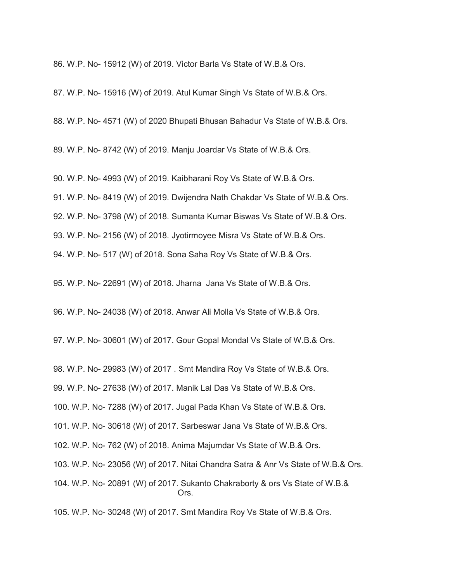86. W.P. No- 15912 (W) of 2019. Victor Barla Vs State of W.B.& Ors.

87. W.P. No- 15916 (W) of 2019. Atul Kumar Singh Vs State of W.B.& Ors.

88. W.P. No- 4571 (W) of 2020 Bhupati Bhusan Bahadur Vs State of W.B.& Ors.

89. W.P. No- 8742 (W) of 2019. Manju Joardar Vs State of W.B.& Ors.

90. W.P. No- 4993 (W) of 2019. Kaibharani Roy Vs State of W.B.& Ors. 91. W.P. No- 8419 (W) of 2019. Dwijendra Nath Chakdar Vs State of W.B.& Ors. 92. W.P. No- 3798 (W) of 2018. Sumanta Kumar Biswas Vs State of W.B.& Ors. 93. W.P. No- 2156 (W) of 2018. Jyotirmoyee Misra Vs State of W.B.& Ors. 94. W.P. No- 517 (W) of 2018. Sona Saha Roy Vs State of W.B.& Ors.

95. W.P. No- 22691 (W) of 2018. Jharna Jana Vs State of W.B.& Ors.

96. W.P. No- 24038 (W) of 2018. Anwar Ali Molla Vs State of W.B.& Ors.

97. W.P. No- 30601 (W) of 2017. Gour Gopal Mondal Vs State of W.B.& Ors.

98. W.P. No- 29983 (W) of 2017 . Smt Mandira Roy Vs State of W.B.& Ors.

99. W.P. No- 27638 (W) of 2017. Manik Lal Das Vs State of W.B.& Ors.

100. W.P. No- 7288 (W) of 2017. Jugal Pada Khan Vs State of W.B.& Ors.

101. W.P. No- 30618 (W) of 2017. Sarbeswar Jana Vs State of W.B.& Ors.

102. W.P. No- 762 (W) of 2018. Anima Majumdar Vs State of W.B.& Ors.

103. W.P. No- 23056 (W) of 2017. Nitai Chandra Satra & Anr Vs State of W.B.& Ors.

104. W.P. No- 20891 (W) of 2017. Sukanto Chakraborty & ors Vs State of W.B.& Ors.

105. W.P. No- 30248 (W) of 2017. Smt Mandira Roy Vs State of W.B.& Ors.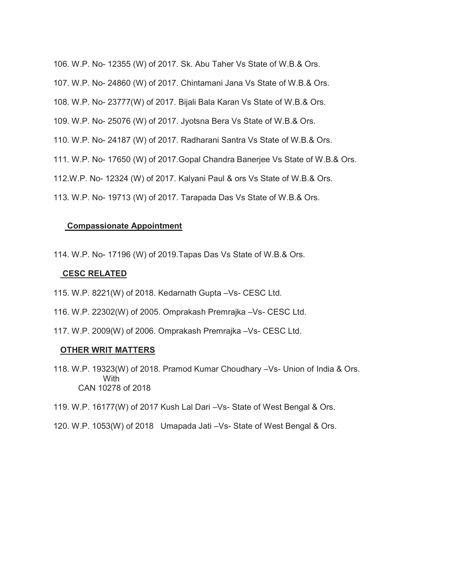```
106. W.P. No- 12355 (W) of 2017. Sk. Abu Taher Vs State of W.B.& Ors. 
107. W.P. No- 24860 (W) of 2017. Chintamani Jana Vs State of W.B.& Ors. 
108. W.P. No- 23777(W) of 2017. Bijali Bala Karan Vs State of W.B.& Ors. 
109. W.P. No- 25076 (W) of 2017. Jyotsna Bera Vs State of W.B.& Ors. 
110. W.P. No- 24187 (W) of 2017. Radharani Santra Vs State of W.B.& Ors. 
111. W.P. No- 17650 (W) of 2017.Gopal Chandra Banerjee Vs State of W.B.& Ors. 
112.W.P. No- 12324 (W) of 2017. Kalyani Paul & ors Vs State of W.B.& Ors. 
113. W.P. No- 19713 (W) of 2017. Tarapada Das Vs State of W.B.& Ors.
```
# Compassionate Appointment

114. W.P. No- 17196 (W) of 2019.Tapas Das Vs State of W.B.& Ors.

# CESC RELATED

- 115. W.P. 8221(W) of 2018. Kedarnath Gupta –Vs- CESC Ltd.
- 116. W.P. 22302(W) of 2005. Omprakash Premrajka –Vs- CESC Ltd.
- 117. W.P. 2009(W) of 2006. Omprakash Premrajka –Vs- CESC Ltd.

## OTHER WRIT MATTERS

118. W.P. 19323(W) of 2018. Pramod Kumar Choudhary –Vs- Union of India & Ors. **With** CAN 10278 of 2018

# 119. W.P. 16177(W) of 2017 Kush Lal Dari –Vs- State of West Bengal & Ors.

120. W.P. 1053(W) of 2018 Umapada Jati –Vs- State of West Bengal & Ors.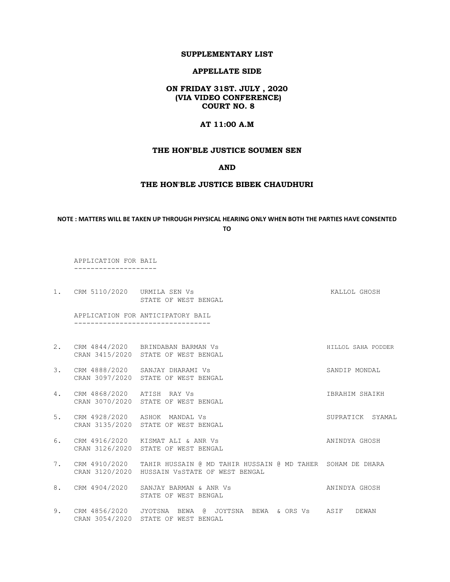### APPELLATE SIDE

### ON FRIDAY 31ST. JULY , 2020 (VIA VIDEO CONFERENCE) COURT NO. 8

### AT 11:00 A.M

### THE HON'BLE JUSTICE SOUMEN SEN

### AND

#### THE HON'BLE JUSTICE BIBEK CHAUDHURI

### NOTE : MATTERS WILL BE TAKEN UP THROUGH PHYSICAL HEARING ONLY WHEN BOTH THE PARTIES HAVE CONSENTED TO

APPLICATION FOR BAIL

--------------------

1. CRM 5110/2020 URMILA SEN Vs **KALLOL GHOSH** STATE OF WEST BENGAL

 APPLICATION FOR ANTICIPATORY BAIL ---------------------------------

- 2. CRM 4844/2020 BRINDABAN BARMAN Vs HILLOL SAHA PODDER CRAN 3415/2020 STATE OF WEST BENGAL
- 3. CRM 4888/2020 SANJAY DHARAMI Vs SANDIP MONDAL CRAN 3097/2020 STATE OF WEST BENGAL
- 4. CRM 4868/2020 ATISH RAY Vs IBRAHIM SHAIKH CRAN 3070/2020 STATE OF WEST BENGAL
- 5. CRM 4928/2020 ASHOK MANDAL Vs SUPRATICK SYAMAL CRAN 3135/2020 STATE OF WEST BENGAL
- 6. CRM 4916/2020 KISMAT ALI & ANR Vs ANINDYA GHOSH CRAN 3126/2020 STATE OF WEST BENGAL
- 7. CRM 4910/2020 TAHIR HUSSAIN @ MD TAHIR HUSSAIN @ MD TAHER SOHAM DE DHARA CRAN 3120/2020 HUSSAIN VsSTATE OF WEST BENGAL
- 8. CRM 4904/2020 SANJAY BARMAN & ANR Vs ANINDYA GHOSH STATE OF WEST BENGAL
- 9. CRM 4856/2020 JYOTSNA BEWA @ JOYTSNA BEWA & ORS Vs ASIF DEWAN CRAN 3054/2020 STATE OF WEST BENGAL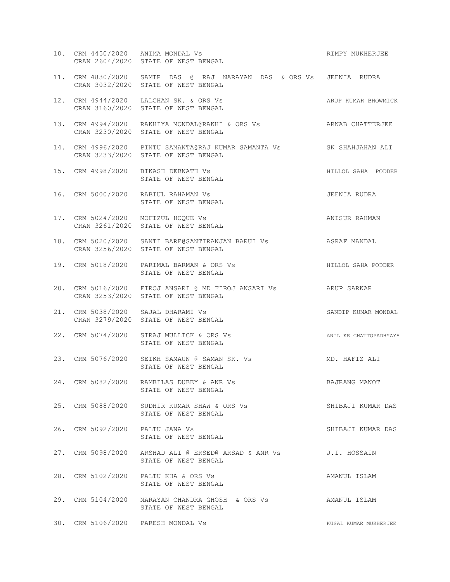|     |                                 | 10. CRM 4450/2020 ANIMA MONDAL Vs<br>CRAN 2604/2020 STATE OF WEST BENGAL                                       | RIMPY MUKHERJEE        |
|-----|---------------------------------|----------------------------------------------------------------------------------------------------------------|------------------------|
|     |                                 | 11. CRM 4830/2020 SAMIR DAS @ RAJ NARAYAN DAS & ORS Vs JEENIA RUDRA<br>CRAN 3032/2020 STATE OF WEST BENGAL     |                        |
|     |                                 | 12. CRM 4944/2020 LALCHAN SK. & ORS Vs<br>CRAN 3160/2020 STATE OF WEST BENGAL                                  | ARUP KUMAR BHOWMICK    |
|     |                                 | 13. CRM 4994/2020 RAKHIYA MONDAL@RAKHI & ORS Vs <b>ARNAB CHATTERJEE</b><br>CRAN 3230/2020 STATE OF WEST BENGAL |                        |
|     |                                 | 14. CRM 4996/2020 PINTU SAMANTA@RAJ KUMAR SAMANTA Vs SK SHAHJAHAN ALI<br>CRAN 3233/2020 STATE OF WEST BENGAL   |                        |
|     |                                 | 15. CRM 4998/2020 BIKASH DEBNATH Vs<br>STATE OF WEST BENGAL                                                    | HILLOL SAHA PODDER     |
|     |                                 | 16. CRM 5000/2020 RABIUL RAHAMAN Vs<br>STATE OF WEST BENGAL                                                    | JEENIA RUDRA           |
|     |                                 | 17. CRM 5024/2020 MOFIZUL HOQUE Vs<br>CRAN 3261/2020 STATE OF WEST BENGAL                                      | ANISUR RAHMAN          |
|     |                                 | 18. CRM 5020/2020 SANTI BARE@SANTIRANJAN BARUI VS ASRAF MANDAL<br>CRAN 3256/2020 STATE OF WEST BENGAL          |                        |
|     |                                 | 19. CRM 5018/2020 PARIMAL BARMAN & ORS Vs<br>STATE OF WEST BENGAL                                              | HILLOL SAHA PODDER     |
| 20. |                                 | CRM 5016/2020 FIROJ ANSARI @ MD FIROJ ANSARI Vs ARUP SARKAR<br>CRAN 3253/2020 STATE OF WEST BENGAL             |                        |
|     |                                 | 21. CRM 5038/2020 SAJAL DHARAMI Vs<br>CRAN 3279/2020 STATE OF WEST BENGAL                                      | SANDIP KUMAR MONDAL    |
|     |                                 | 22. CRM 5074/2020 SIRAJ MULLICK & ORS Vs<br>STATE OF WEST BENGAL                                               | ANIL KR CHATTOPADHYAYA |
|     |                                 | 23. CRM 5076/2020 SEIKH SAMAUN @ SAMAN SK. Vs<br>STATE OF WEST BENGAL                                          | MD. HAFIZ ALI          |
|     |                                 | 24. CRM 5082/2020 RAMBILAS DUBEY & ANR Vs<br>STATE OF WEST BENGAL                                              | BAJRANG MANOT          |
|     |                                 | 25. CRM 5088/2020 SUDHIR KUMAR SHAW & ORS Vs<br>STATE OF WEST BENGAL                                           | SHIBAJI KUMAR DAS      |
|     | 26. CRM 5092/2020 PALTU JANA Vs | STATE OF WEST BENGAL                                                                                           | SHIBAJI KUMAR DAS      |
|     |                                 | 27. CRM 5098/2020 ARSHAD ALI @ ERSED@ ARSAD & ANR Vs<br>STATE OF WEST BENGAL                                   | J.I. HOSSAIN           |
|     |                                 | 28. CRM 5102/2020 PALTU KHA & ORS Vs<br>STATE OF WEST BENGAL                                                   | AMANUL ISLAM           |
|     |                                 | 29. CRM 5104/2020 NARAYAN CHANDRA GHOSH & ORS Vs<br>STATE OF WEST BENGAL                                       | AMANUL ISLAM           |
|     |                                 | 30. CRM 5106/2020 PARESH MONDAL Vs                                                                             | KUSAL KUMAR MUKHERJEE  |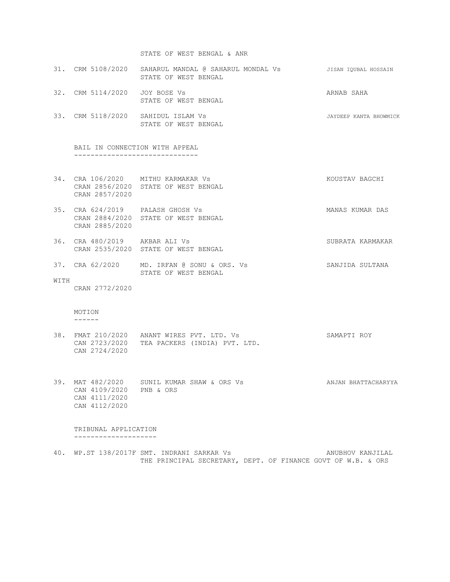#### STATE OF WEST BENGAL & ANR

- 31. CRM 5108/2020 SAHARUL MANDAL @ SAHARUL MONDAL Vs JISAN IQUBAL HOSSAIN STATE OF WEST BENGAL
- 32. CRM 5114/2020 JOY BOSE Vs ARNAB SAHA STATE OF WEST BENGAL
- 33. CRM 5118/2020 SAHIDUL ISLAM Vs JAYDEEP KANTA BHOWMICK STATE OF WEST BENGAL

 BAIL IN CONNECTION WITH APPEAL ------------------------------

- 34. CRA 106/2020 MITHU KARMAKAR Vs KOUSTAV BAGCHI CRAN 2856/2020 STATE OF WEST BENGAL CRAN 2857/2020
- 35. CRA 624/2019 PALASH GHOSH Vs NAMAS KUMAR DAS CRAN 2884/2020 STATE OF WEST BENGAL CRAN 2885/2020
- 36. CRA 480/2019 AKBAR ALI Vs SUBRATA KARMAKAR CRAN 2535/2020 STATE OF WEST BENGAL
- 37. CRA 62/2020 MD. IRFAN @ SONU & ORS. Vs SANJIDA SULTANA STATE OF WEST BENGAL
- WITH

CRAN 2772/2020

#### MOTION ------

- 38. FMAT 210/2020 ANANT WIRES PVT. LTD. Vs SAMAPTI ROY CAN 2723/2020 TEA PACKERS (INDIA) PVT. LTD. CAN 2724/2020
- 39. MAT 482/2020 SUNIL KUMAR SHAW & ORS Vs ANJAN BHATTACHARYYA CAN 4109/2020 PNB & ORS CAN 4111/2020 CAN 4112/2020

 TRIBUNAL APPLICATION --------------------

40. WP.ST 138/2017F SMT. INDRANI SARKAR Vs ANUBHOV KANJILAL THE PRINCIPAL SECRETARY, DEPT. OF FINANCE GOVT OF W.B. & ORS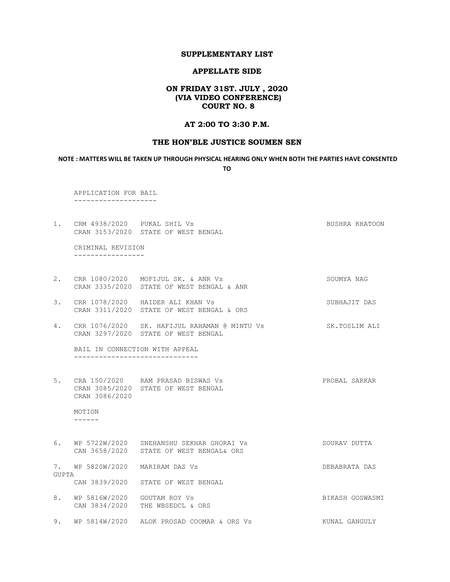#### APPELLATE SIDE

## ON FRIDAY 31ST. JULY , 2020 (VIA VIDEO CONFERENCE) COURT NO. 8

### AT 2:00 TO 3:30 P.M.

### THE HON'BLE JUSTICE SOUMEN SEN

NOTE : MATTERS WILL BE TAKEN UP THROUGH PHYSICAL HEARING ONLY WHEN BOTH THE PARTIES HAVE CONSENTED TO

 APPLICATION FOR BAIL --------------------

1. CRM 4938/2020 PUKAL SHIL Vs **BUSHRA KHATOON** CRAN 3153/2020 STATE OF WEST BENGAL

 CRIMINAL REVISION -----------------

- 2. CRR 1080/2020 MOFIJUL SK. & ANR Vs SOUMYA NAG CRAN 3335/2020 STATE OF WEST BENGAL & ANR
- 3. CRR 1078/2020 HAIDER ALI KHAN Vs SUBHAJIT DAS CRAN 3311/2020 STATE OF WEST BENGAL & ORS
- 4. CRR 1076/2020 SK. HAFIJUL RAHAMAN @ MINTU Vs SK.TOSLIM ALI CRAN 3297/2020 STATE OF WEST BENGAL

 BAIL IN CONNECTION WITH APPEAL ------------------------------

5. CRA 150/2020 RAM PRASAD BISWAS Vs PROBAL SARKAR CRAN 3085/2020 STATE OF WEST BENGAL CRAN 3086/2020

 MOTION ------

6. WP 5722W/2020 SNEHANSHU SEKHAR GHORAI Vs SOURAV DUTTA CAN 3658/2020 STATE OF WEST BENGAL& ORS 7. WP 5820W/2020 MARIRAM DAS Vs DEBABRATA DAS GUPTA CAN 3839/2020 STATE OF WEST BENGAL 8. WP 5816W/2020 GOUTAM ROY Vs Sand Barry Barness Bikash Goswasmi CAN 3834/2020 THE WBSEDCL & ORS 9. WP 5814W/2020 ALOK PROSAD COOMAR & ORS Vs KUNAL GANGULY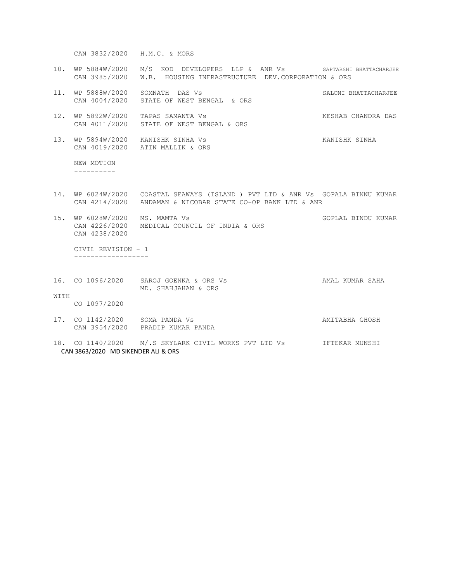CAN 3832/2020 H.M.C. & MORS

- 10. WP 5884W/2020 M/S KOD DEVELOPERS LLP & ANR Vs SAPTARSHI BHATTACHARJEE CAN 3985/2020 W.B. HOUSING INFRASTRUCTURE DEV.CORPORATION & ORS
- 11. WP 5888W/2020 SOMNATH DAS Vs SALONI BHATTACHARJEE CAN 4004/2020 STATE OF WEST BENGAL & ORS
- 12. WP 5892W/2020 TAPAS SAMANTA Vs KESHAB CHANDRA DAS CAN 4011/2020 STATE OF WEST BENGAL & ORS
- 13. WP 5894W/2020 KANISHK SINHA Vs KANISHK SINHA CAN 4019/2020 ATIN MALLIK & ORS

 NEW MOTION ----------

- 14. WP 6024W/2020 COASTAL SEAWAYS (ISLAND ) PVT LTD & ANR Vs GOPALA BINNU KUMAR CAN 4214/2020 ANDAMAN & NICOBAR STATE CO-OP BANK LTD & ANR
- 15. WP 6028W/2020 MS. MAMTA Vs GOPLAL BINDU KUMAR CAN 4226/2020 MEDICAL COUNCIL OF INDIA & ORS CAN 4238/2020

 CIVIL REVISION - 1 ------------------

16. CO 1096/2020 SAROJ GOENKA & ORS Vs CHAR SAMAL KUMAR SAHA MD. SHAHJAHAN & ORS WITH

CO 1097/2020

- 17. CO 1142/2020 SOMA PANDA Vs **AMITABHA GHOSH** CAN 3954/2020 PRADIP KUMAR PANDA
- 18. CO 1140/2020 M/.S SKYLARK CIVIL WORKS PVT LTD Vs IFTEKAR MUNSHI CAN 3863/2020 MD SIKENDER ALI & ORS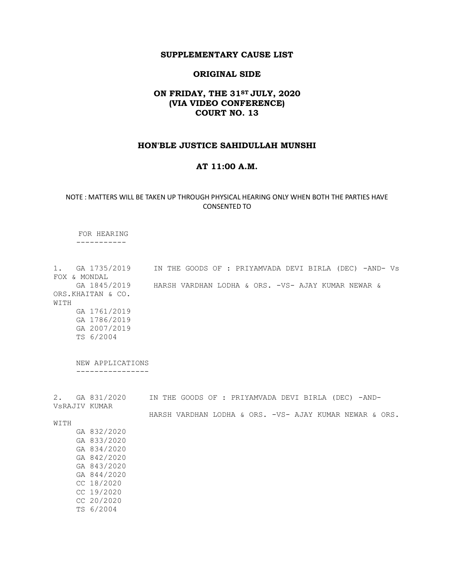### SUPPLEMENTARY CAUSE LIST

### ORIGINAL SIDE

# ON FRIDAY, THE 31<sup>ST</sup> JULY, 2020 (VIA VIDEO CONFERENCE) COURT NO. 13

### HON'BLE JUSTICE SAHIDULLAH MUNSHI

## AT 11:00 A.M.

### NOTE : MATTERS WILL BE TAKEN UP THROUGH PHYSICAL HEARING ONLY WHEN BOTH THE PARTIES HAVE CONSENTED TO

 FOR HEARING -----------

1. GA 1735/2019 IN THE GOODS OF : PRIYAMVADA DEVI BIRLA (DEC) -AND- Vs FOX & MONDAL GA 1845/2019 HARSH VARDHAN LODHA & ORS. -VS- AJAY KUMAR NEWAR & ORS.KHAITAN & CO. WITH GA 1761/2019 GA 1786/2019 GA 2007/2019 TS 6/2004

 NEW APPLICATIONS ----------------

2. GA 831/2020 IN THE GOODS OF : PRIYAMVADA DEVI BIRLA (DEC) -AND-VsRAJIV KUMAR

WITH

HARSH VARDHAN LODHA & ORS. -VS- AJAY KUMAR NEWAR & ORS.

 GA 832/2020 GA 833/2020 GA 834/2020 GA 842/2020 GA 843/2020 GA 844/2020 CC 18/2020 CC 19/2020 CC 20/2020 TS 6/2004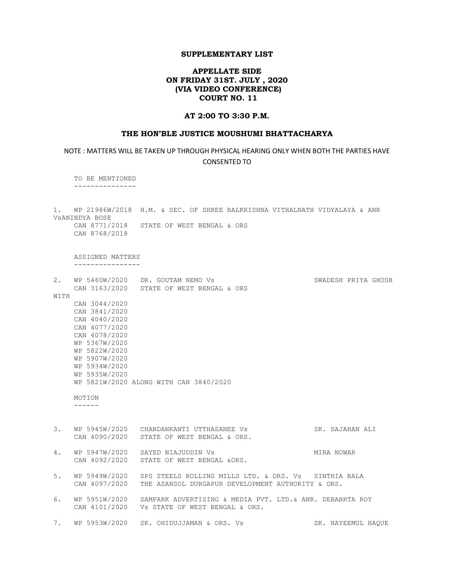## APPELLATE SIDE ON FRIDAY 31ST. JULY , 2020 (VIA VIDEO CONFERENCE) COURT NO. 11

### AT 2:00 TO 3:30 P.M.

#### THE HON'BLE JUSTICE MOUSHUMI BHATTACHARYA

NOTE : MATTERS WILL BE TAKEN UP THROUGH PHYSICAL HEARING ONLY WHEN BOTH THE PARTIES HAVE CONSENTED TO

 TO BE MENTIONED ---------------

1. WP 21986W/2018 H.M. & SEC. OF SHREE BALKRISHNA VITHALNATH VIDYALAYA & ANR VsANINDYA BOSE CAN 8771/2018 STATE OF WEST BENGAL & ORS

CAN 8768/2018

 ASSIGNED MATTERS ----------------

2. WP 5460W/2020 DR. GOUTAM NEMO Vs SWADESH PRIYA GHOSH CAN 3163/2020 STATE OF WEST BENGAL & ORS WITH CAN 3044/2020 CAN 3841/2020 CAN 4040/2020 CAN 4077/2020 CAN 4078/2020 WP 5367W/2020 WP 5822W/2020 WP 5907W/2020 WP 5934W/2020 WP 5935W/2020 WP 5821W/2020 ALONG WITH CAN 3840/2020

 MOTION ------

3. WP 5945W/2020 CHANDANKANTI UTTHASANEE Vs SK. SAJAHAN ALI CAN 4090/2020 STATE OF WEST BENGAL & ORS.

4. WP 5947W/2020 SAYED NIAJUDDIN Vs **MIRA NOWAR** CAN 4092/2020 STATE OF WEST BENGAL &ORS.

5. WP 5949W/2020 SPS STEELS ROLLING MILLS LTD. & ORS. Vs SINTHIA BALA CAN 4097/2020 THE ASANSOL DURGAPUR DEVELOPMENT AUTHORITY & ORS.

6. WP 5951W/2020 SAMPARK ADVERTISING & MEDIA PVT. LTD.& ANR. DEBABRTA ROY CAN 4101/2020 Vs STATE OF WEST BENGAL & ORS.

7. WP 5953W/2020 SK. OHIDUJJAMAN & ORS. Vs SK. NAYEEMUL HAQUE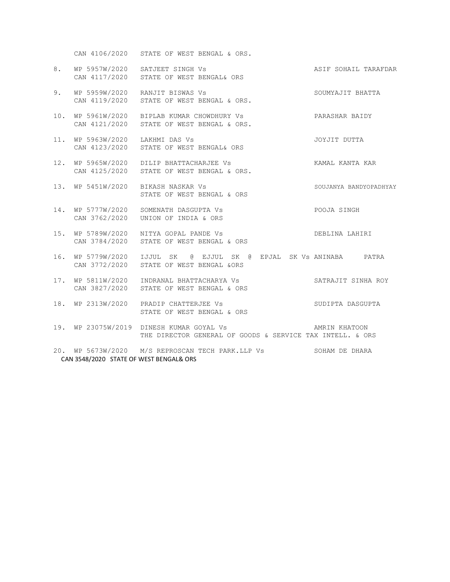CAN 4106/2020 STATE OF WEST BENGAL & ORS.

- 8. WP 5957W/2020 SATJEET SINGH Vs ASIF SOHAIL TARAFDAR CAN 4117/2020 STATE OF WEST BENGAL& ORS
- 9. WP 5959W/2020 RANJIT BISWAS Vs SOUMYAJIT BHATTA CAN 4119/2020 STATE OF WEST BENGAL & ORS.
- 10. WP 5961W/2020 BIPLAB KUMAR CHOWDHURY Vs PARASHAR BAIDY CAN 4121/2020 STATE OF WEST BENGAL & ORS.
- 11. WP 5963W/2020 LAKHMI DAS Vs JOYJIT DUTTA CAN 4123/2020 STATE OF WEST BENGAL& ORS
- 12. WP 5965W/2020 DILIP BHATTACHARJEE Vs **KAMAL KANTA KAR** CAN 4125/2020 STATE OF WEST BENGAL & ORS.
- 13. WP 5451W/2020 BIKASH NASKAR Vs SOUJANYA BANDYOPADHYAY STATE OF WEST BENGAL & ORS
- 14. WP 5777W/2020 SOMENATH DASGUPTA Vs POOJA SINGH CAN 3762/2020 UNION OF INDIA & ORS
- 15. WP 5789W/2020 NITYA GOPAL PANDE Vs DEBLINA LAHIRI CAN 3784/2020 STATE OF WEST BENGAL & ORS
- 16. WP 5779W/2020 IJJUL SK @ EJJUL SK @ EPJAL SK Vs ANINABA PATRA CAN 3772/2020 STATE OF WEST BENGAL &ORS
- 17. WP 5811W/2020 INDRANAL BHATTACHARYA Vs SATRAJIT SINHA ROY CAN 3827/2020 STATE OF WEST BENGAL & ORS
- 18. WP 2313W/2020 PRADIP CHATTERJEE Vs SUDIPTA DASGUPTA STATE OF WEST BENGAL & ORS
- 19. WP 23075W/2019 DINESH KUMAR GOYAL Vs AMRIN KHATOON THE DIRECTOR GENERAL OF GOODS & SERVICE TAX INTELL. & ORS
- 20. WP 5673W/2020 M/S REPROSCAN TECH PARK.LLP Vs SOHAM DE DHARA CAN 3548/2020 STATE OF WEST BENGAL& ORS